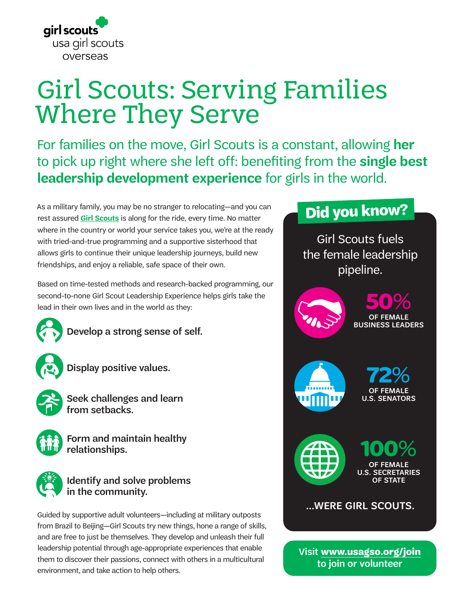

# Girl Scouts: Serving Families Where They Serve

For families on the move, Girl Scouts is a constant, allowing **her** to pick up right where she left off: benefiting from the **single best leadership development experience** for girls in the world.

As a military family, you may be no stranger to relocating—and you can rest assured **[Girl Scouts](https://www.girlscouts.org/en/about-girl-scouts/join.html)** is along for the ride, every time. No matter where in the country or world your service takes you, we're at the ready with tried-and-true programming and a supportive sisterhood that allows girls to continue their unique leadership journeys, build new friendships, and enjoy a reliable, safe space of their own.

Based on time-tested methods and research-backed programming, our second-to-none Girl Scout Leadership Experience helps girls take the lead in their own lives and in the world as they:



Develop a strong sense of self.

Display positive values.



Seek challenges and learn from setbacks.



Form and maintain healthy relationships.



## Identify and solve problems in the community.

Guided by supportive adult volunteers—including at military outposts from Brazil to Beijing—Girl Scouts try new things, hone a range of skills, and are free to just be themselves. They develop and unleash their full leadership potential through age-appropriate experiences that enable them to discover their passions, connect with others in a multicultural environment, and take action to help others.

# **Did you know?**

Girl Scouts fuels the female leadership pipeline.





**72**% OF FEMALE U.S. SENATORS



**100**% OF FEMALE U.S. SECRETARIES OF STATE

# ...WERE GIRL SCOUTS.

Visit **[www.usagso.org/join](http://www.girlscouts.org)** to join or volunteer